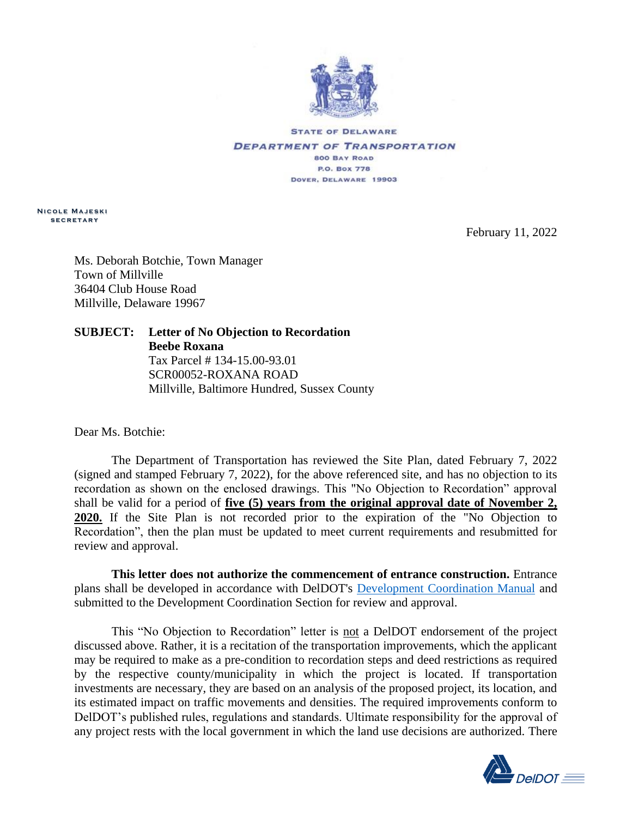

**STATE OF DELAWARE DEPARTMENT OF TRANSPORTATION 800 BAY ROAD P.O. Box 778** DOVER, DELAWARE 19903

**N i c o l e M a j e s k i s e c r e t a r y**

February 11, 2022

Ms. Deborah Botchie, Town Manager Town of Millville 36404 Club House Road Millville, Delaware 19967

**SUBJECT: Letter of No Objection to Recordation Beebe Roxana** Tax Parcel # 134-15.00-93.01 SCR00052-ROXANA ROAD Millville, Baltimore Hundred, Sussex County

Dear Ms. Botchie:

The Department of Transportation has reviewed the Site Plan, dated February 7, 2022 (signed and stamped February 7, 2022), for the above referenced site, and has no objection to its recordation as shown on the enclosed drawings. This "No Objection to Recordation" approval shall be valid for a period of **five (5) years from the original approval date of November 2, 2020.** If the Site Plan is not recorded prior to the expiration of the "No Objection to Recordation", then the plan must be updated to meet current requirements and resubmitted for review and approval.

**This letter does not authorize the commencement of entrance construction.** Entrance plans shall be developed in accordance with DelDOT's [Development Coordination Manual](https://deldot.gov/Business/subdivisions/index.shtml?dc=changes) and submitted to the Development Coordination Section for review and approval.

This "No Objection to Recordation" letter is not a DelDOT endorsement of the project discussed above. Rather, it is a recitation of the transportation improvements, which the applicant may be required to make as a pre-condition to recordation steps and deed restrictions as required by the respective county/municipality in which the project is located. If transportation investments are necessary, they are based on an analysis of the proposed project, its location, and its estimated impact on traffic movements and densities. The required improvements conform to DelDOT's published rules, regulations and standards. Ultimate responsibility for the approval of any project rests with the local government in which the land use decisions are authorized. There